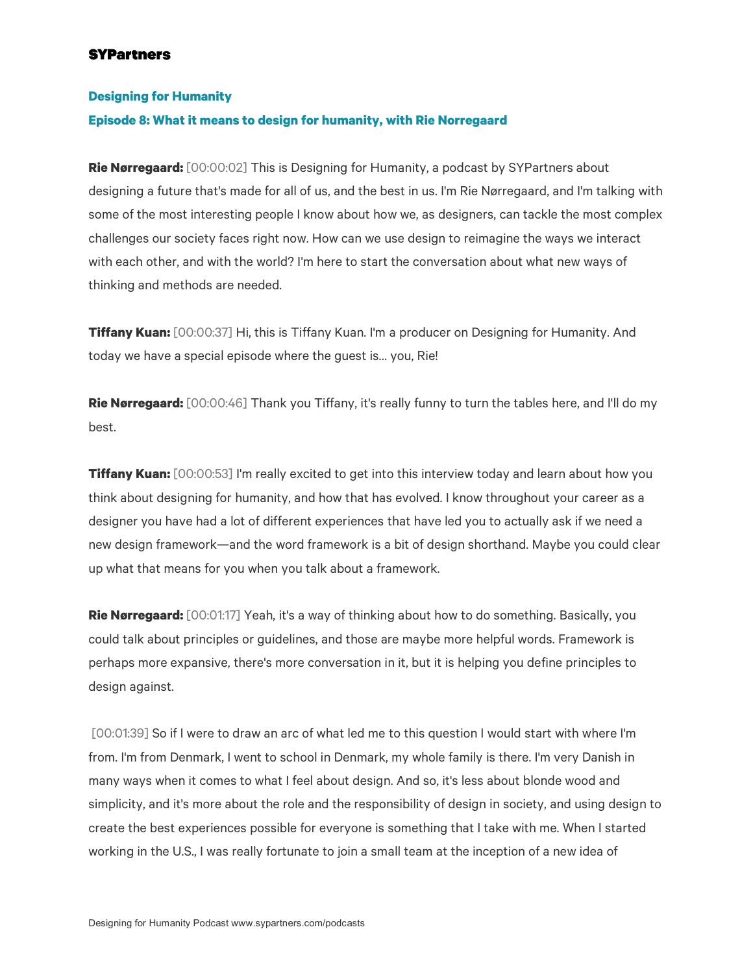#### **Designing for Humanity**

#### **Episode 8: What it means to design for humanity, with Rie Norregaard**

**Rie Nørregaard:** [00:00:02] This is Designing for Humanity, a podcast by SYPartners about designing a future that's made for all of us, and the best in us. I'm Rie Nørregaard, and I'm talking with some of the most interesting people I know about how we, as designers, can tackle the most complex challenges our society faces right now. How can we use design to reimagine the ways we interact with each other, and with the world? I'm here to start the conversation about what new ways of thinking and methods are needed.

**Tiffany Kuan:** [00:00:37] Hi, this is Tiffany Kuan. I'm a producer on Designing for Humanity. And today we have a special episode where the guest is… you, Rie!

**Rie Nørregaard:** [00:00:46] Thank you Tiffany, it's really funny to turn the tables here, and I'll do my best.

**Tiffany Kuan:** [00:00:53] I'm really excited to get into this interview today and learn about how you think about designing for humanity, and how that has evolved. I know throughout your career as a designer you have had a lot of different experiences that have led you to actually ask if we need a new design framework—and the word framework is a bit of design shorthand. Maybe you could clear up what that means for you when you talk about a framework.

**Rie Nørregaard:** [00:01:17] Yeah, it's a way of thinking about how to do something. Basically, you could talk about principles or guidelines, and those are maybe more helpful words. Framework is perhaps more expansive, there's more conversation in it, but it is helping you define principles to design against.

[00:01:39] So if I were to draw an arc of what led me to this question I would start with where I'm from. I'm from Denmark, I went to school in Denmark, my whole family is there. I'm very Danish in many ways when it comes to what I feel about design. And so, it's less about blonde wood and simplicity, and it's more about the role and the responsibility of design in society, and using design to create the best experiences possible for everyone is something that I take with me. When I started working in the U.S., I was really fortunate to join a small team at the inception of a new idea of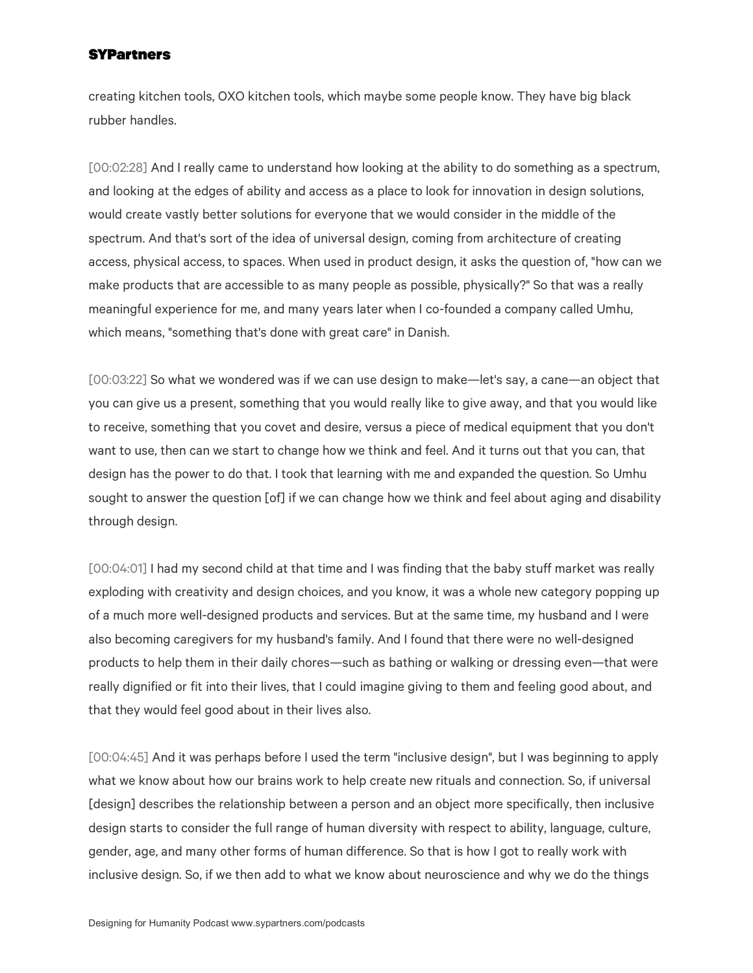creating kitchen tools, OXO kitchen tools, which maybe some people know. They have big black rubber handles.

[00:02:28] And I really came to understand how looking at the ability to do something as a spectrum, and looking at the edges of ability and access as a place to look for innovation in design solutions, would create vastly better solutions for everyone that we would consider in the middle of the spectrum. And that's sort of the idea of universal design, coming from architecture of creating access, physical access, to spaces. When used in product design, it asks the question of, "how can we make products that are accessible to as many people as possible, physically?" So that was a really meaningful experience for me, and many years later when I co-founded a company called Umhu, which means, "something that's done with great care" in Danish.

[00:03:22] So what we wondered was if we can use design to make—let's say, a cane—an object that you can give us a present, something that you would really like to give away, and that you would like to receive, something that you covet and desire, versus a piece of medical equipment that you don't want to use, then can we start to change how we think and feel. And it turns out that you can, that design has the power to do that. I took that learning with me and expanded the question. So Umhu sought to answer the question [of] if we can change how we think and feel about aging and disability through design.

[00:04:01] I had my second child at that time and I was finding that the baby stuff market was really exploding with creativity and design choices, and you know, it was a whole new category popping up of a much more well-designed products and services. But at the same time, my husband and I were also becoming caregivers for my husband's family. And I found that there were no well-designed products to help them in their daily chores—such as bathing or walking or dressing even—that were really dignified or fit into their lives, that I could imagine giving to them and feeling good about, and that they would feel good about in their lives also.

[00:04:45] And it was perhaps before I used the term "inclusive design", but I was beginning to apply what we know about how our brains work to help create new rituals and connection. So, if universal [design] describes the relationship between a person and an object more specifically, then inclusive design starts to consider the full range of human diversity with respect to ability, language, culture, gender, age, and many other forms of human difference. So that is how I got to really work with inclusive design. So, if we then add to what we know about neuroscience and why we do the things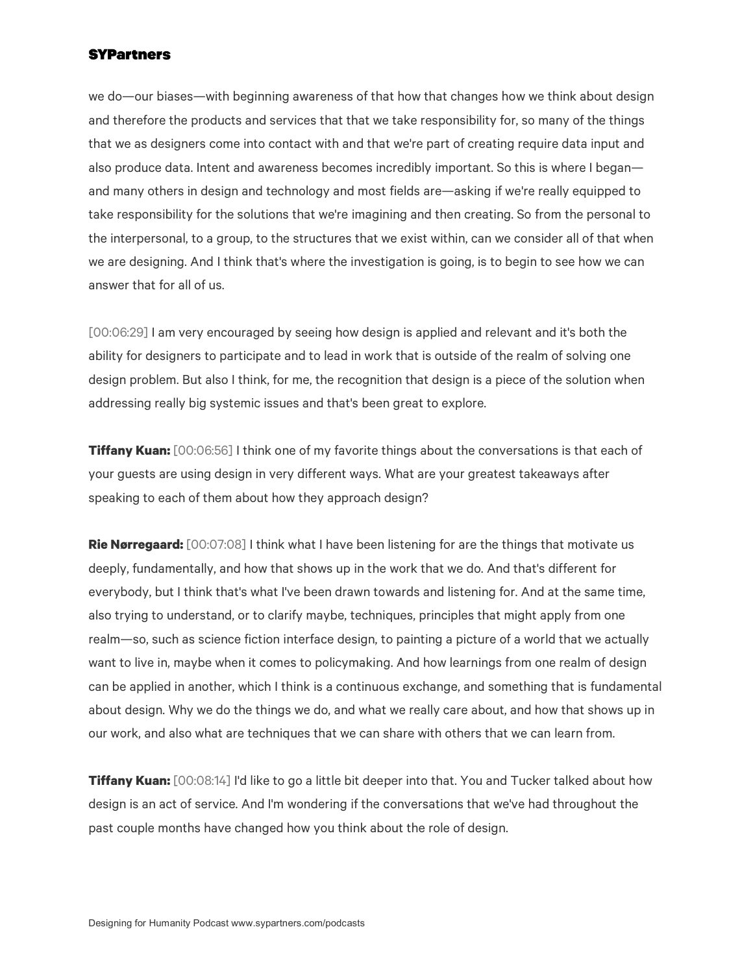we do—our biases—with beginning awareness of that how that changes how we think about design and therefore the products and services that that we take responsibility for, so many of the things that we as designers come into contact with and that we're part of creating require data input and also produce data. Intent and awareness becomes incredibly important. So this is where I began and many others in design and technology and most fields are—asking if we're really equipped to take responsibility for the solutions that we're imagining and then creating. So from the personal to the interpersonal, to a group, to the structures that we exist within, can we consider all of that when we are designing. And I think that's where the investigation is going, is to begin to see how we can answer that for all of us.

[00:06:29] I am very encouraged by seeing how design is applied and relevant and it's both the ability for designers to participate and to lead in work that is outside of the realm of solving one design problem. But also I think, for me, the recognition that design is a piece of the solution when addressing really big systemic issues and that's been great to explore.

**Tiffany Kuan:** [00:06:56] I think one of my favorite things about the conversations is that each of your guests are using design in very different ways. What are your greatest takeaways after speaking to each of them about how they approach design?

**Rie Nørregaard:** [00:07:08] I think what I have been listening for are the things that motivate us deeply, fundamentally, and how that shows up in the work that we do. And that's different for everybody, but I think that's what I've been drawn towards and listening for. And at the same time, also trying to understand, or to clarify maybe, techniques, principles that might apply from one realm—so, such as science fiction interface design, to painting a picture of a world that we actually want to live in, maybe when it comes to policymaking. And how learnings from one realm of design can be applied in another, which I think is a continuous exchange, and something that is fundamental about design. Why we do the things we do, and what we really care about, and how that shows up in our work, and also what are techniques that we can share with others that we can learn from.

**Tiffany Kuan:** [00:08:14] I'd like to go a little bit deeper into that. You and Tucker talked about how design is an act of service. And I'm wondering if the conversations that we've had throughout the past couple months have changed how you think about the role of design.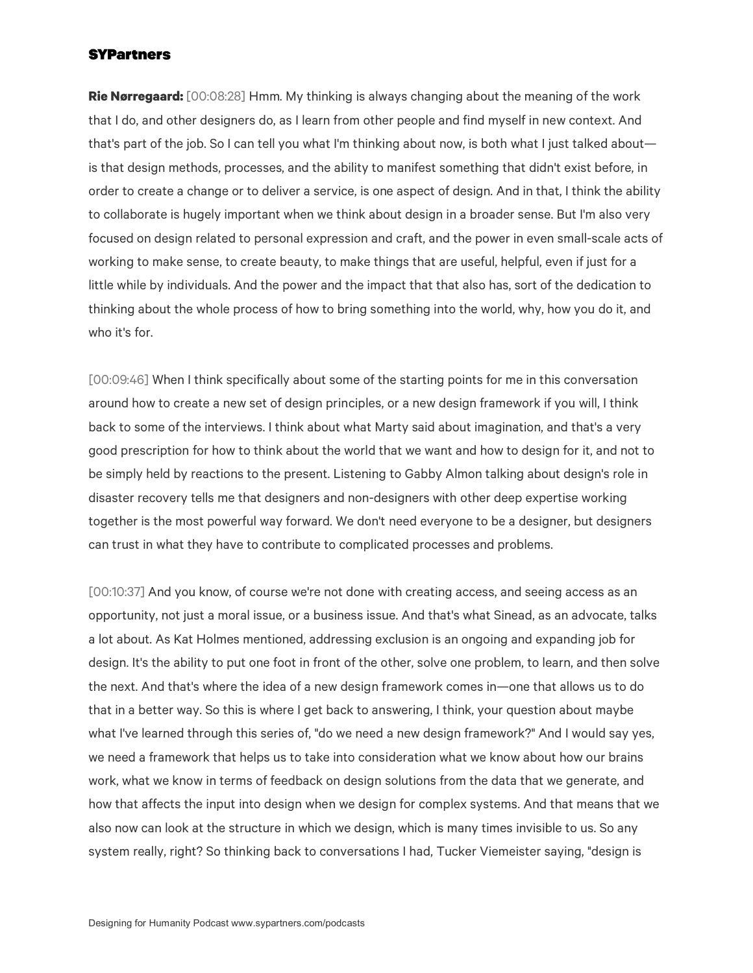**Rie Nørregaard:** [00:08:28] Hmm. My thinking is always changing about the meaning of the work that I do, and other designers do, as I learn from other people and find myself in new context. And that's part of the job. So I can tell you what I'm thinking about now, is both what I just talked about is that design methods, processes, and the ability to manifest something that didn't exist before, in order to create a change or to deliver a service, is one aspect of design. And in that, I think the ability to collaborate is hugely important when we think about design in a broader sense. But I'm also very focused on design related to personal expression and craft, and the power in even small-scale acts of working to make sense, to create beauty, to make things that are useful, helpful, even if just for a little while by individuals. And the power and the impact that that also has, sort of the dedication to thinking about the whole process of how to bring something into the world, why, how you do it, and who it's for.

[00:09:46] When I think specifically about some of the starting points for me in this conversation around how to create a new set of design principles, or a new design framework if you will, I think back to some of the interviews. I think about what Marty said about imagination, and that's a very good prescription for how to think about the world that we want and how to design for it, and not to be simply held by reactions to the present. Listening to Gabby Almon talking about design's role in disaster recovery tells me that designers and non-designers with other deep expertise working together is the most powerful way forward. We don't need everyone to be a designer, but designers can trust in what they have to contribute to complicated processes and problems.

[00:10:37] And you know, of course we're not done with creating access, and seeing access as an opportunity, not just a moral issue, or a business issue. And that's what Sinead, as an advocate, talks a lot about. As Kat Holmes mentioned, addressing exclusion is an ongoing and expanding job for design. It's the ability to put one foot in front of the other, solve one problem, to learn, and then solve the next. And that's where the idea of a new design framework comes in—one that allows us to do that in a better way. So this is where I get back to answering, I think, your question about maybe what I've learned through this series of, "do we need a new design framework?" And I would say yes, we need a framework that helps us to take into consideration what we know about how our brains work, what we know in terms of feedback on design solutions from the data that we generate, and how that affects the input into design when we design for complex systems. And that means that we also now can look at the structure in which we design, which is many times invisible to us. So any system really, right? So thinking back to conversations I had, Tucker Viemeister saying, "design is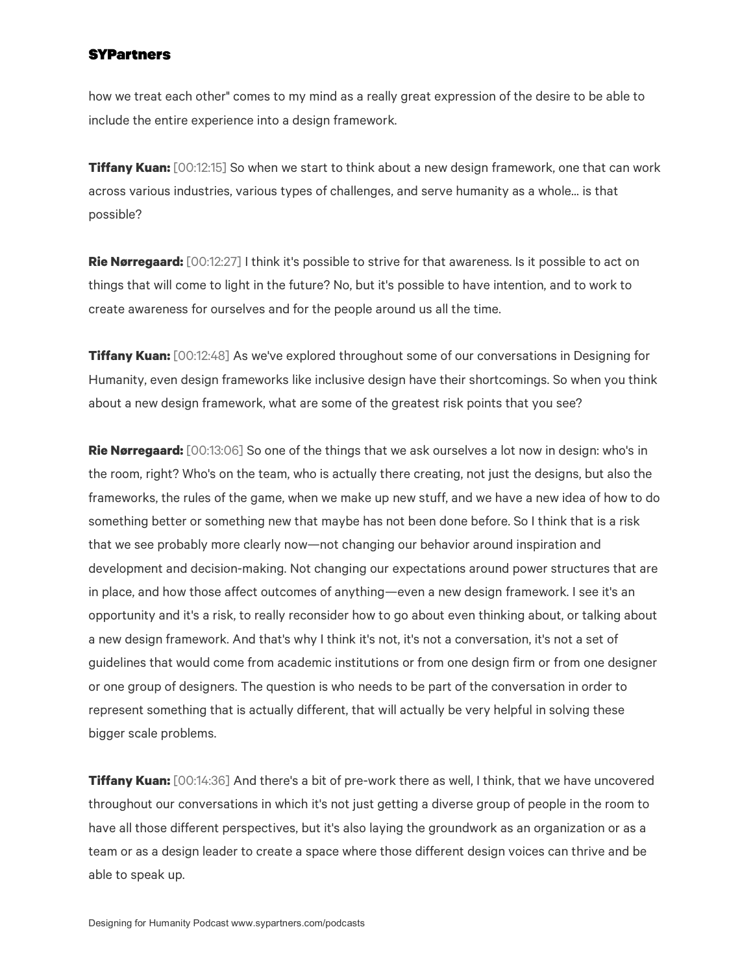how we treat each other" comes to my mind as a really great expression of the desire to be able to include the entire experience into a design framework.

**Tiffany Kuan:** [00:12:15] So when we start to think about a new design framework, one that can work across various industries, various types of challenges, and serve humanity as a whole... is that possible?

**Rie Nørregaard:** [00:12:27] I think it's possible to strive for that awareness. Is it possible to act on things that will come to light in the future? No, but it's possible to have intention, and to work to create awareness for ourselves and for the people around us all the time.

**Tiffany Kuan:** [00:12:48] As we've explored throughout some of our conversations in Designing for Humanity, even design frameworks like inclusive design have their shortcomings. So when you think about a new design framework, what are some of the greatest risk points that you see?

**Rie Nørregaard:** [00:13:06] So one of the things that we ask ourselves a lot now in design: who's in the room, right? Who's on the team, who is actually there creating, not just the designs, but also the frameworks, the rules of the game, when we make up new stuff, and we have a new idea of how to do something better or something new that maybe has not been done before. So I think that is a risk that we see probably more clearly now—not changing our behavior around inspiration and development and decision-making. Not changing our expectations around power structures that are in place, and how those affect outcomes of anything—even a new design framework. I see it's an opportunity and it's a risk, to really reconsider how to go about even thinking about, or talking about a new design framework. And that's why I think it's not, it's not a conversation, it's not a set of guidelines that would come from academic institutions or from one design firm or from one designer or one group of designers. The question is who needs to be part of the conversation in order to represent something that is actually different, that will actually be very helpful in solving these bigger scale problems.

**Tiffany Kuan:** [00:14:36] And there's a bit of pre-work there as well, I think, that we have uncovered throughout our conversations in which it's not just getting a diverse group of people in the room to have all those different perspectives, but it's also laying the groundwork as an organization or as a team or as a design leader to create a space where those different design voices can thrive and be able to speak up.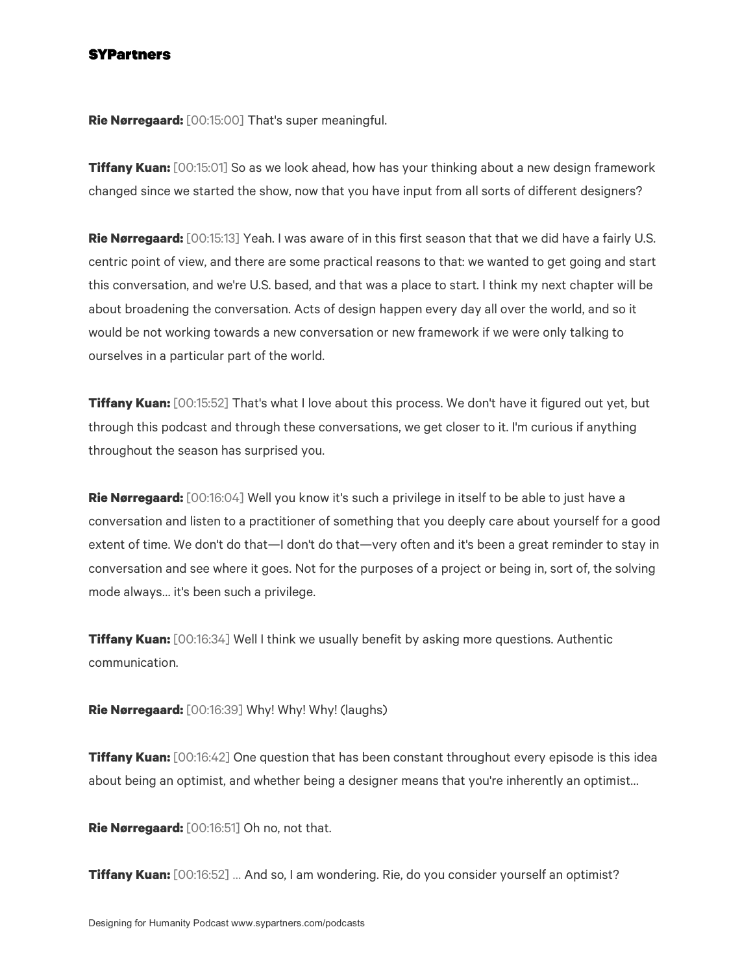**Rie Nørregaard:** [00:15:00] That's super meaningful.

**Tiffany Kuan:** [00:15:01] So as we look ahead, how has your thinking about a new design framework changed since we started the show, now that you have input from all sorts of different designers?

**Rie Nørregaard:** [00:15:13] Yeah. I was aware of in this first season that that we did have a fairly U.S. centric point of view, and there are some practical reasons to that: we wanted to get going and start this conversation, and we're U.S. based, and that was a place to start. I think my next chapter will be about broadening the conversation. Acts of design happen every day all over the world, and so it would be not working towards a new conversation or new framework if we were only talking to ourselves in a particular part of the world.

**Tiffany Kuan:** [00:15:52] That's what I love about this process. We don't have it figured out yet, but through this podcast and through these conversations, we get closer to it. I'm curious if anything throughout the season has surprised you.

**Rie Nørregaard:** [00:16:04] Well you know it's such a privilege in itself to be able to just have a conversation and listen to a practitioner of something that you deeply care about yourself for a good extent of time. We don't do that—I don't do that—very often and it's been a great reminder to stay in conversation and see where it goes. Not for the purposes of a project or being in, sort of, the solving mode always… it's been such a privilege.

**Tiffany Kuan:** [00:16:34] Well I think we usually benefit by asking more questions. Authentic communication.

**Rie Nørregaard:** [00:16:39] Why! Why! Why! (laughs)

**Tiffany Kuan:** [00:16:42] One question that has been constant throughout every episode is this idea about being an optimist, and whether being a designer means that you're inherently an optimist…

**Rie Nørregaard:** [00:16:51] Oh no, not that.

**Tiffany Kuan:** [00:16:52] … And so, I am wondering. Rie, do you consider yourself an optimist?